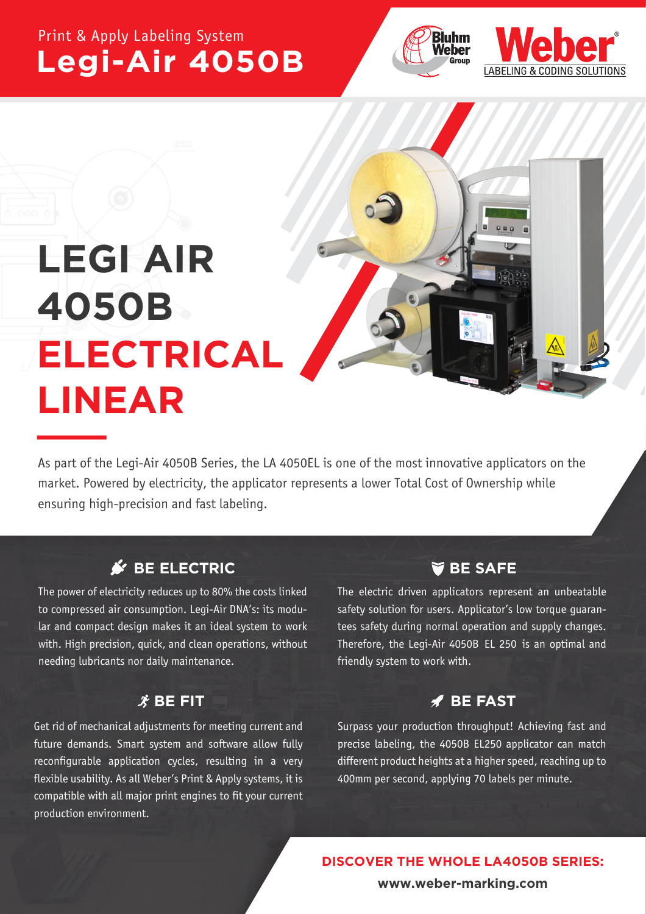## Print & Apply Labeling System **Legi-Air 4050B**





# **LEGI AIR 4050B ELECTRICAL LINEAR**

As part of the Legi-Air 4050B Series, the LA 4050EL is one of the most innovative applicators on the market. Powered by electricity, the applicator represents a lower Total Cost of Ownership while ensuring high-precision and fast labeling.

## **S**<sup> $\epsilon$ </sup> BE ELECTRIC

The power of electricity reduces up to 80% the costs linked to compressed air consumption. Legi-Air DNA's: its modular and compact design makes it an ideal system to work with. High precision, quick, and clean operations, without needing lubricants nor daily maintenance.

### $\hat{\mathbf{X}}$  BE FIT

Get rid of mechanical adjustments for meeting current and future demands. Smart system and software allow fully reconfigurable application cycles, resulting in a very flexible usability. As all Weber's Print & Apply systems, it is compatible with all major print engines to fit your current production environment.

### **BE SAFE**

The electric driven applicators represent an unbeatable safety solution for users. Applicator's low torque guarantees safety during normal operation and supply changes. Therefore, the Legi-Air 4050B EL 250 is an optimal and friendly system to work with.

#### **BE FAST**

Surpass your production throughput! Achieving fast and precise labeling, the 4050B EL250 applicator can match different product heights at a higher speed, reaching up to 400mm per second, applying 70 labels per minute.

 **DISCOVER THE WHOLE LA4050B SERIES:**

**www.weber-marking.com**